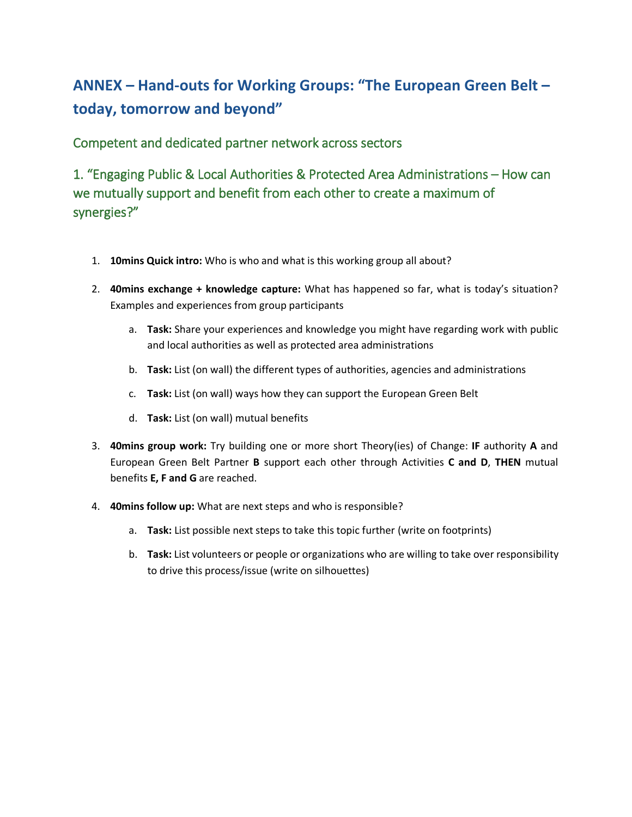# **ANNEX – Hand-outs for Working Groups: "The European Green Belt – today, tomorrow and beyond"**

Competent and dedicated partner network across sectors

1. "Engaging Public & Local Authorities & Protected Area Administrations – How can we mutually support and benefit from each other to create a maximum of synergies?"

- 1. **10mins Quick intro:** Who is who and what is this working group all about?
- 2. **40mins exchange + knowledge capture:** What has happened so far, what is today's situation? Examples and experiences from group participants
	- a. **Task:** Share your experiences and knowledge you might have regarding work with public and local authorities as well as protected area administrations
	- b. **Task:** List (on wall) the different types of authorities, agencies and administrations
	- c. **Task:** List (on wall) ways how they can support the European Green Belt
	- d. **Task:** List (on wall) mutual benefits
- 3. **40mins group work:** Try building one or more short Theory(ies) of Change: **IF** authority **A** and European Green Belt Partner **B** support each other through Activities **C and D**, **THEN** mutual benefits **E, F and G** are reached.
- 4. **40mins follow up:** What are next steps and who is responsible?
	- a. **Task:** List possible next steps to take this topic further (write on footprints)
	- b. **Task:** List volunteers or people or organizations who are willing to take over responsibility to drive this process/issue (write on silhouettes)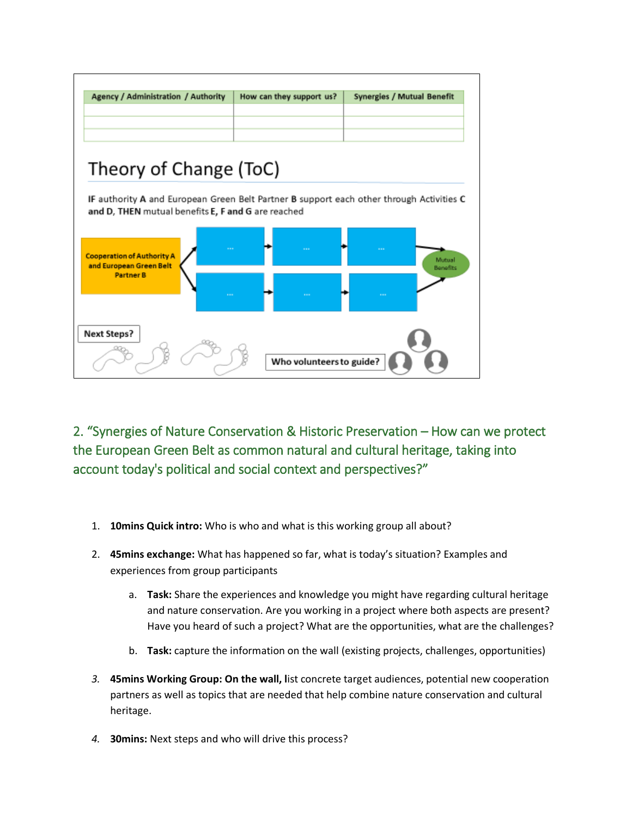

2. "Synergies of Nature Conservation & Historic Preservation – How can we protect the European Green Belt as common natural and cultural heritage, taking into account today's political and social context and perspectives?"

- 1. **10mins Quick intro:** Who is who and what is this working group all about?
- 2. **45mins exchange:** What has happened so far, what is today's situation? Examples and experiences from group participants
	- a. **Task:** Share the experiences and knowledge you might have regarding cultural heritage and nature conservation. Are you working in a project where both aspects are present? Have you heard of such a project? What are the opportunities, what are the challenges?
	- b. **Task:** capture the information on the wall (existing projects, challenges, opportunities)
- *3.* **45mins Working Group: On the wall, l**ist concrete target audiences, potential new cooperation partners as well as topics that are needed that help combine nature conservation and cultural heritage.
- *4.* **30mins:** Next steps and who will drive this process?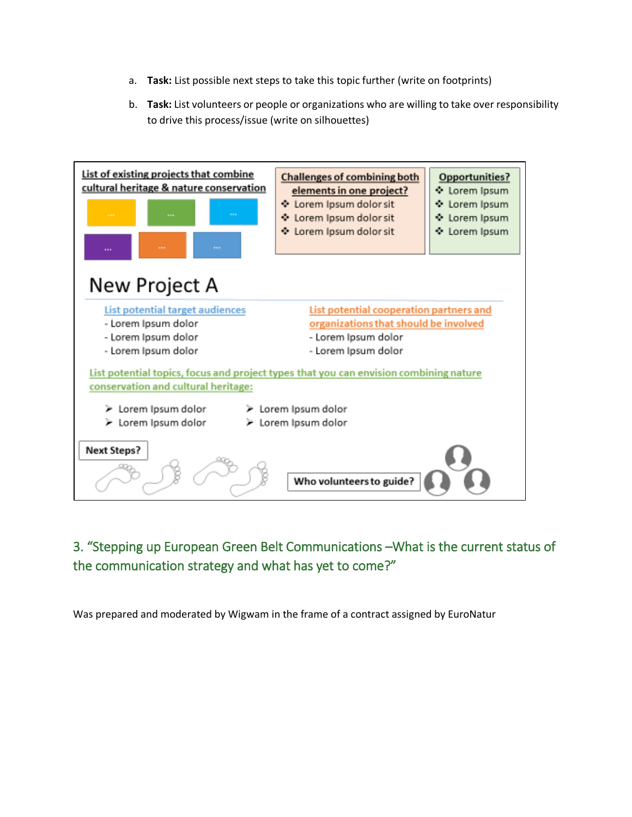- a. **Task:** List possible next steps to take this topic further (write on footprints)
- b. **Task:** List volunteers or people or organizations who are willing to take over responsibility to drive this process/issue (write on silhouettes)



# 3. "Stepping up European Green Belt Communications –What is the current status of the communication strategy and what has yet to come?"

Was prepared and moderated by Wigwam in the frame of a contract assigned by EuroNatur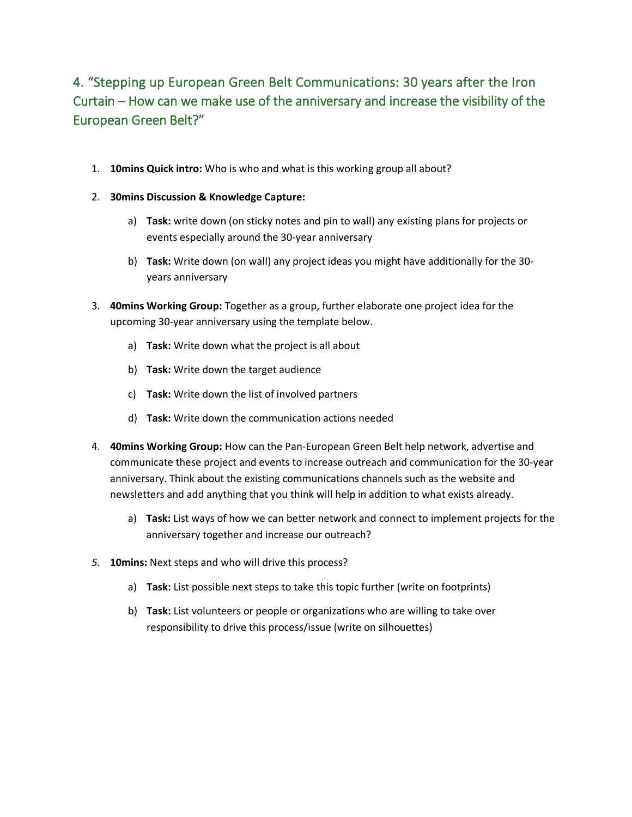# 4. "Stepping up European Green Belt Communications: 30 years after the Iron Curtain – How can we make use of the anniversary and increase the visibility of the European Green Belt?"

1. **10mins Quick intro:** Who is who and what is this working group all about?

#### 2. **30mins Discussion & Knowledge Capture:**

- a) **Task:** write down (on sticky notes and pin to wall) any existing plans for projects or events especially around the 30-year anniversary
- b) **Task:** Write down (on wall) any project ideas you might have additionally for the 30 years anniversary
- 3. **40mins Working Group:** Together as a group, further elaborate one project idea for the upcoming 30-year anniversary using the template below.
	- a) **Task:** Write down what the project is all about
	- b) **Task:** Write down the target audience
	- c) **Task:** Write down the list of involved partners
	- d) **Task:** Write down the communication actions needed
- 4. **40mins Working Group:** How can the Pan-European Green Belt help network, advertise and communicate these project and events to increase outreach and communication for the 30-year anniversary. Think about the existing communications channels such as the website and newsletters and add anything that you think will help in addition to what exists already.
	- a) **Task:** List ways of how we can better network and connect to implement projects for the anniversary together and increase our outreach?
- *5.* **10mins:** Next steps and who will drive this process?
	- a) **Task:** List possible next steps to take this topic further (write on footprints)
	- b) **Task:** List volunteers or people or organizations who are willing to take over responsibility to drive this process/issue (write on silhouettes)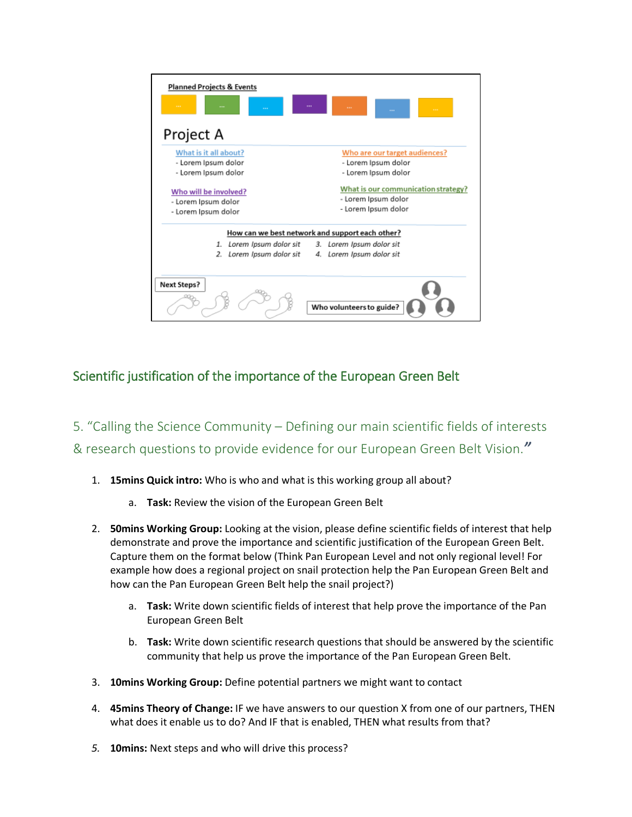

### Scientific justification of the importance of the European Green Belt

- 5. "Calling the Science Community Defining our main scientific fields of interests & research questions to provide evidence for our European Green Belt Vision.*"* 
	- 1. **15mins Quick intro:** Who is who and what is this working group all about?
		- a. **Task:** Review the vision of the European Green Belt
	- 2. **50mins Working Group:** Looking at the vision, please define scientific fields of interest that help demonstrate and prove the importance and scientific justification of the European Green Belt. Capture them on the format below (Think Pan European Level and not only regional level! For example how does a regional project on snail protection help the Pan European Green Belt and how can the Pan European Green Belt help the snail project?)
		- a. **Task:** Write down scientific fields of interest that help prove the importance of the Pan European Green Belt
		- b. **Task:** Write down scientific research questions that should be answered by the scientific community that help us prove the importance of the Pan European Green Belt.
	- 3. **10mins Working Group:** Define potential partners we might want to contact
	- 4. **45mins Theory of Change:** IF we have answers to our question X from one of our partners, THEN what does it enable us to do? And IF that is enabled, THEN what results from that?
	- *5.* **10mins:** Next steps and who will drive this process?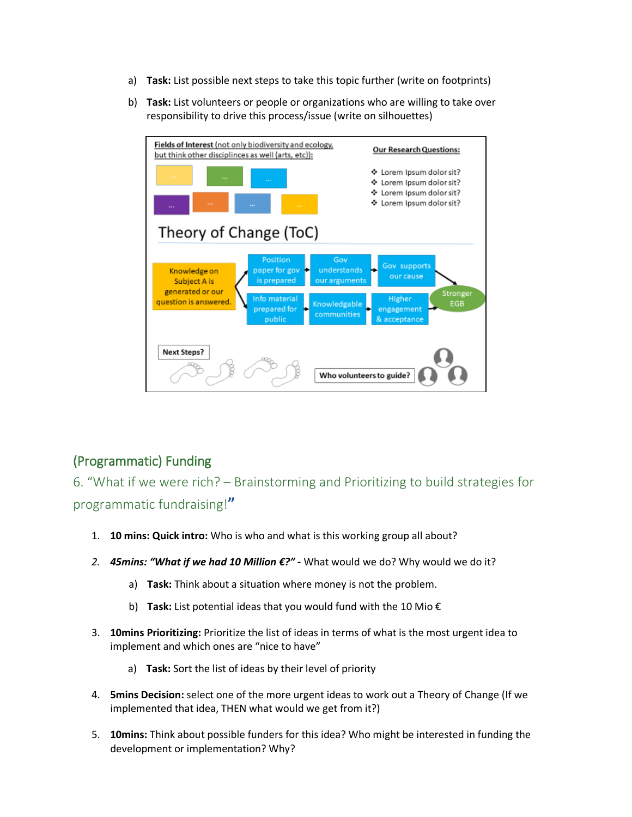- a) **Task:** List possible next steps to take this topic further (write on footprints)
- b) **Task:** List volunteers or people or organizations who are willing to take over responsibility to drive this process/issue (write on silhouettes)



## (Programmatic) Funding

6. "What if we were rich? – Brainstorming and Prioritizing to build strategies for programmatic fundraising!**"** 

- 1. **10 mins: Quick intro:** Who is who and what is this working group all about?
- *2. 45mins: "What if we had 10 Million €?" -* What would we do? Why would we do it?
	- a) **Task:** Think about a situation where money is not the problem.
	- b) **Task:** List potential ideas that you would fund with the 10 Mio €
- 3. **10mins Prioritizing:** Prioritize the list of ideas in terms of what is the most urgent idea to implement and which ones are "nice to have"
	- a) **Task:** Sort the list of ideas by their level of priority
- 4. **5mins Decision:** select one of the more urgent ideas to work out a Theory of Change (If we implemented that idea, THEN what would we get from it?)
- 5. **10mins:** Think about possible funders for this idea? Who might be interested in funding the development or implementation? Why?